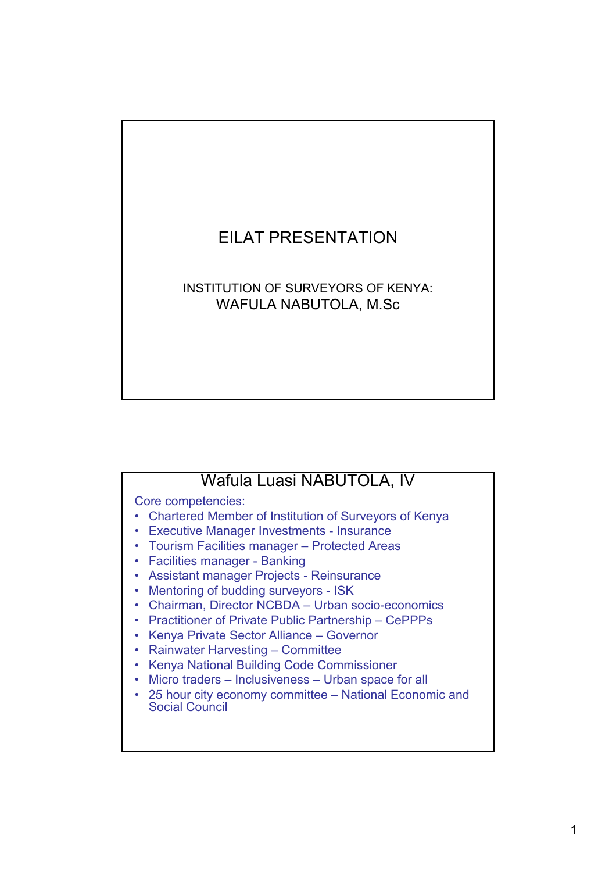## EILAT PRESENTATION

## INSTITUTION OF SURVEYORS OF KENYA: WAFULA NABUTOLA, M.Sc

## Wafula Luasi NABUTOLA, IV

Core competencies:

- Chartered Member of Institution of Surveyors of Kenya
- Executive Manager Investments Insurance
- Tourism Facilities manager Protected Areas
- Facilities manager Banking
- Assistant manager Projects Reinsurance
- Mentoring of budding surveyors ISK
- Chairman, Director NCBDA Urban socio-economics
- Practitioner of Private Public Partnership CePPPs
- Kenya Private Sector Alliance Governor
- Rainwater Harvesting Committee
- Kenya National Building Code Commissioner
- Micro traders Inclusiveness Urban space for all
- 25 hour city economy committee National Economic and Social Council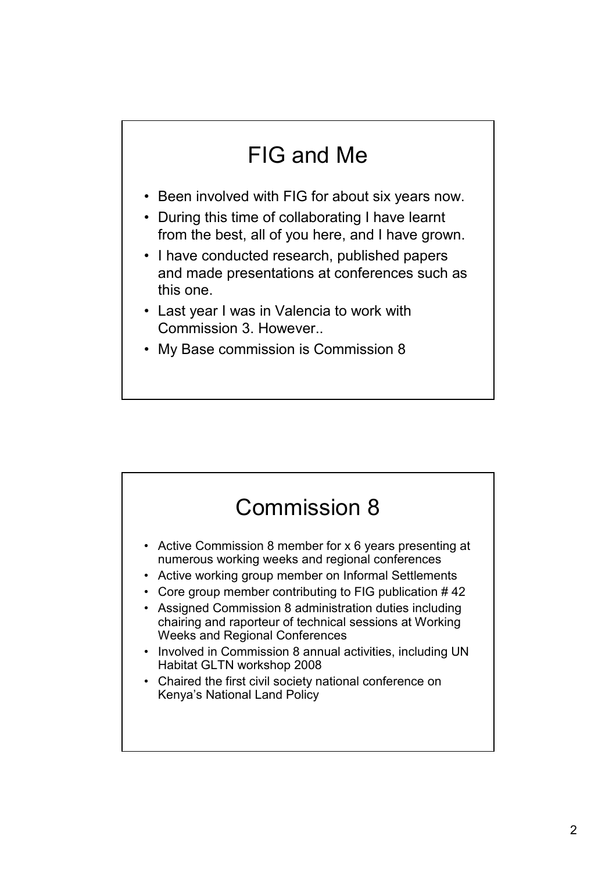## FIG and Me

- Been involved with FIG for about six years now.
- During this time of collaborating I have learnt from the best, all of you here, and I have grown.
- I have conducted research, published papers and made presentations at conferences such as this one.
- Last year I was in Valencia to work with Commission 3. However..
- My Base commission is Commission 8

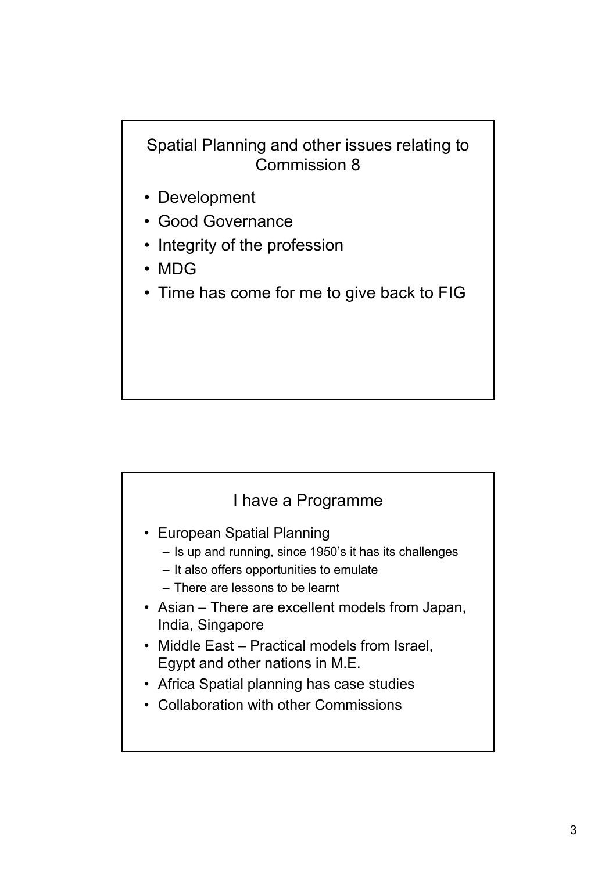Spatial Planning and other issues relating to Commission 8

- Development
- Good Governance
- Integrity of the profession
- MDG
- Time has come for me to give back to FIG